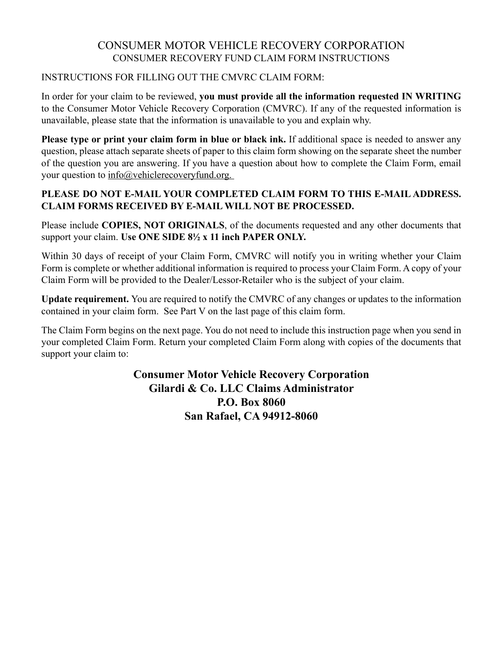## CONSUMER MOTOR VEHICLE RECOVERY CORPORATION CONSUMER RECOVERY FUND CLAIM FORM INSTRUCTIONS

### INSTRUCTIONS FOR FILLING OUT THE CMVRC CLAIM FORM:

In order for your claim to be reviewed, **you must provide all the information requested IN WRITING** to the Consumer Motor Vehicle Recovery Corporation (CMVRC). If any of the requested information is unavailable, please state that the information is unavailable to you and explain why.

**Please type or print your claim form in blue or black ink.** If additional space is needed to answer any question, please attach separate sheets of paper to this claim form showing on the separate sheet the number of the question you are answering. If you have a question about how to complete the Claim Form, email your question to info@vehiclerecoveryfund.org.

## **PLEASE DO NOT E-MAIL YOUR COMPLETED CLAIM FORM TO THIS E-MAIL ADDRESS. CLAIM FORMS RECEIVED BY E-MAIL WILL NOT BE PROCESSED.**

Please include **COPIES, NOT ORIGINALS**, of the documents requested and any other documents that support your claim. **Use ONE SIDE 8½ x 11 inch PAPER ONLY.**

Within 30 days of receipt of your Claim Form, CMVRC will notify you in writing whether your Claim Form is complete or whether additional information is required to process your Claim Form. A copy of your Claim Form will be provided to the Dealer/Lessor-Retailer who is the subject of your claim.

**Update requirement.** You are required to notify the CMVRC of any changes or updates to the information contained in your claim form. See Part V on the last page of this claim form.

The Claim Form begins on the next page. You do not need to include this instruction page when you send in your completed Claim Form. Return your completed Claim Form along with copies of the documents that support your claim to:

> **Consumer Motor Vehicle Recovery Corporation Gilardi & Co. LLC Claims Administrator P.O. Box 8060 San Rafael, CA 94912-8060**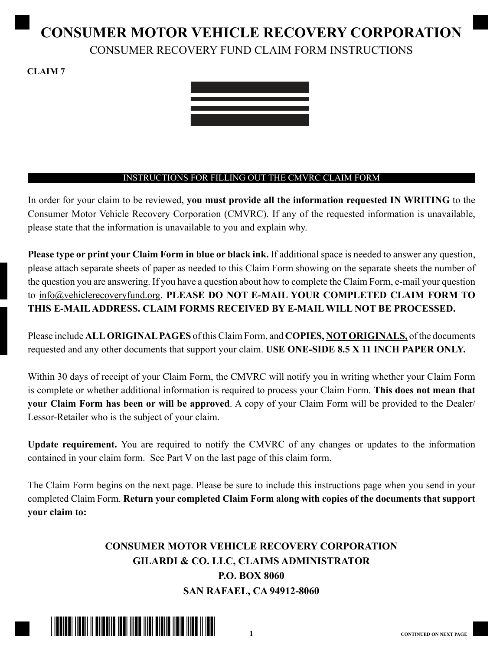# **CONSUMER MOTOR VEHICLE RECOVERY CORPORATION** CONSUMER RECOVERY FUND CLAIM FORM INSTRUCTIONS

**CLAIM 7**



### INSTRUCTIONS FOR FILLING OUT THE CMVRC CLAIM FORM

In order for your claim to be reviewed, **you must provide all the information requested IN WRITING** to the Consumer Motor Vehicle Recovery Corporation (CMVRC). If any of the requested information is unavailable, please state that the information is unavailable to you and explain why.

**Please type or print your Claim Form in blue or black ink.** If additional space is needed to answer any question, please attach separate sheets of paper as needed to this Claim Form showing on the separate sheets the number of the question you are answering. If you have a question about how to complete the Claim Form, e-mail your question to info@vehiclerecoveryfund.org. **PLEASE DO NOT E-MAIL YOUR COMPLETED CLAIM FORM TO THIS E-MAIL ADDRESS. CLAIM FORMS RECEIVED BY E-MAIL WILL NOT BE PROCESSED.**

Please include **ALL ORIGINAL PAGES** of this Claim Form, and **COPIES, NOT ORIGINALS,** of the documents requested and any other documents that support your claim. USE ONE-SIDE 8.5 X 11 INCH PAPER ONLY.

Within 30 days of receipt of your Claim Form, the CMVRC will notify you in writing whether your Claim Form is complete or whether additional information is required to process your Claim Form. **This does not mean that your Claim Form has been or will be approved**. A copy of your Claim Form will be provided to the Dealer/ Lessor-Retailer who is the subject of your claim.

**Update requirement.** You are required to notify the CMVRC of any changes or updates to the information contained in your claim form. See Part V on the last page of this claim form.

The Claim Form begins on the next page. Please be sure to include this instructions page when you send in your completed Claim Form. **Return your completed Claim Form along with copies of the documents that support your claim to:**

# **CONSUMER MOTOR VEHICLE RECOVERY CORPORATION GILARDI & CO. LLC, CLAIMS ADMINISTRATOR P.O. BOX 8060 SAN RAFAEL, CA 94912-8060**

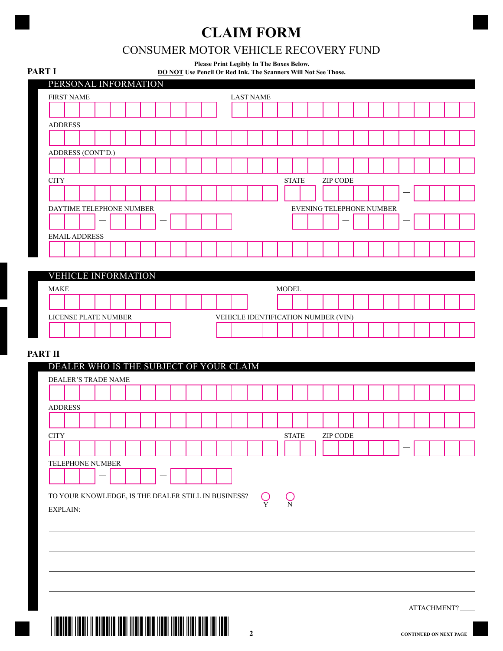# **CLAIM FORM**

# CONSUMER MOTOR VEHICLE RECOVERY FUND

| PERSONAL INFORMATION<br><b>LAST NAME</b><br><b>STATE</b><br><b>ZIP CODE</b><br>EVENING TELEPHONE NUMBER<br><b>MODEL</b><br>VEHICLE IDENTIFICATION NUMBER (VIN)<br><b>STATE</b><br>ZIP CODE<br>O<br>$\bigcup\limits_{\rm N}$<br>$\overline{Y}$  | <b>PART I</b> |  |  | Please Print Legibly In The Boxes Below. | DO NOT Use Pencil Or Red Ink. The Scanners Will Not See Those. |  |  |  |  |  |  |  |  |
|------------------------------------------------------------------------------------------------------------------------------------------------------------------------------------------------------------------------------------------------|---------------|--|--|------------------------------------------|----------------------------------------------------------------|--|--|--|--|--|--|--|--|
| <b>FIRST NAME</b>                                                                                                                                                                                                                              |               |  |  |                                          |                                                                |  |  |  |  |  |  |  |  |
| <b>VEHICLE INFORMATION</b>                                                                                                                                                                                                                     |               |  |  |                                          |                                                                |  |  |  |  |  |  |  |  |
| <b>ADDRESS</b><br>ADDRESS (CONT'D.)<br><b>CITY</b>                                                                                                                                                                                             |               |  |  |                                          |                                                                |  |  |  |  |  |  |  |  |
|                                                                                                                                                                                                                                                |               |  |  |                                          |                                                                |  |  |  |  |  |  |  |  |
|                                                                                                                                                                                                                                                |               |  |  |                                          |                                                                |  |  |  |  |  |  |  |  |
|                                                                                                                                                                                                                                                |               |  |  |                                          |                                                                |  |  |  |  |  |  |  |  |
|                                                                                                                                                                                                                                                |               |  |  |                                          |                                                                |  |  |  |  |  |  |  |  |
|                                                                                                                                                                                                                                                |               |  |  |                                          |                                                                |  |  |  |  |  |  |  |  |
| DAYTIME TELEPHONE NUMBER<br><b>EMAIL ADDRESS</b>                                                                                                                                                                                               |               |  |  |                                          |                                                                |  |  |  |  |  |  |  |  |
|                                                                                                                                                                                                                                                |               |  |  |                                          |                                                                |  |  |  |  |  |  |  |  |
|                                                                                                                                                                                                                                                |               |  |  |                                          |                                                                |  |  |  |  |  |  |  |  |
|                                                                                                                                                                                                                                                |               |  |  |                                          |                                                                |  |  |  |  |  |  |  |  |
|                                                                                                                                                                                                                                                |               |  |  |                                          |                                                                |  |  |  |  |  |  |  |  |
| <b>MAKE</b><br>LICENSE PLATE NUMBER<br><b>PART II</b><br>DEALER WHO IS THE SUBJECT OF YOUR CLAIM<br>DEALER'S TRADE NAME<br><b>ADDRESS</b><br>$\rm CITY$<br>TELEPHONE NUMBER<br>TO YOUR KNOWLEDGE, IS THE DEALER STILL IN BUSINESS?<br>EXPLAIN: |               |  |  |                                          |                                                                |  |  |  |  |  |  |  |  |
|                                                                                                                                                                                                                                                |               |  |  |                                          |                                                                |  |  |  |  |  |  |  |  |
|                                                                                                                                                                                                                                                |               |  |  |                                          |                                                                |  |  |  |  |  |  |  |  |
|                                                                                                                                                                                                                                                |               |  |  |                                          |                                                                |  |  |  |  |  |  |  |  |
|                                                                                                                                                                                                                                                |               |  |  |                                          |                                                                |  |  |  |  |  |  |  |  |
|                                                                                                                                                                                                                                                |               |  |  |                                          |                                                                |  |  |  |  |  |  |  |  |
|                                                                                                                                                                                                                                                |               |  |  |                                          |                                                                |  |  |  |  |  |  |  |  |
|                                                                                                                                                                                                                                                |               |  |  |                                          |                                                                |  |  |  |  |  |  |  |  |
|                                                                                                                                                                                                                                                |               |  |  |                                          |                                                                |  |  |  |  |  |  |  |  |
|                                                                                                                                                                                                                                                |               |  |  |                                          |                                                                |  |  |  |  |  |  |  |  |
|                                                                                                                                                                                                                                                |               |  |  |                                          |                                                                |  |  |  |  |  |  |  |  |
|                                                                                                                                                                                                                                                |               |  |  |                                          |                                                                |  |  |  |  |  |  |  |  |
|                                                                                                                                                                                                                                                |               |  |  |                                          |                                                                |  |  |  |  |  |  |  |  |
|                                                                                                                                                                                                                                                |               |  |  |                                          |                                                                |  |  |  |  |  |  |  |  |
|                                                                                                                                                                                                                                                |               |  |  |                                          |                                                                |  |  |  |  |  |  |  |  |
|                                                                                                                                                                                                                                                |               |  |  |                                          |                                                                |  |  |  |  |  |  |  |  |
|                                                                                                                                                                                                                                                |               |  |  |                                          |                                                                |  |  |  |  |  |  |  |  |
|                                                                                                                                                                                                                                                |               |  |  |                                          |                                                                |  |  |  |  |  |  |  |  |
|                                                                                                                                                                                                                                                |               |  |  |                                          |                                                                |  |  |  |  |  |  |  |  |
|                                                                                                                                                                                                                                                |               |  |  |                                          |                                                                |  |  |  |  |  |  |  |  |
|                                                                                                                                                                                                                                                |               |  |  |                                          |                                                                |  |  |  |  |  |  |  |  |
|                                                                                                                                                                                                                                                |               |  |  |                                          |                                                                |  |  |  |  |  |  |  |  |
|                                                                                                                                                                                                                                                |               |  |  |                                          |                                                                |  |  |  |  |  |  |  |  |

ATTACHMENT?

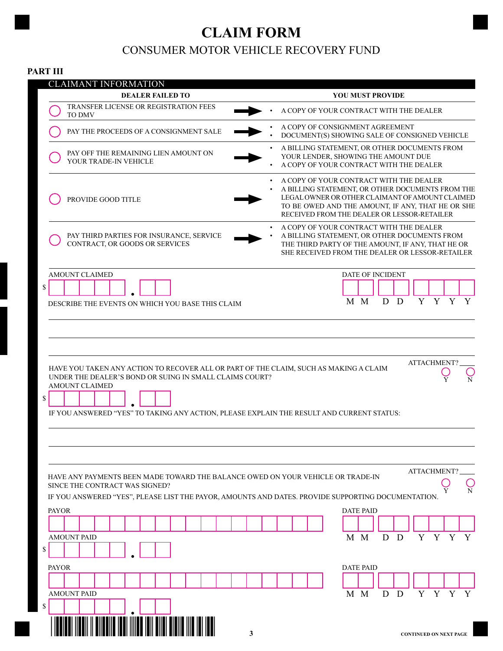# **CLAIM FORM** CONSUMER MOTOR VEHICLE RECOVERY FUND

### **PART III**

|              |                       |               |  | <b>CLAIMANT INFORMATION</b><br><b>DEALER FAILED TO</b>                                                                                               |  |  |  |   |  |                                                                                                                                                                                                                                                    |  | <b>YOU MUST PROVIDE</b> |     |   |              |   |                               |   |   |
|--------------|-----------------------|---------------|--|------------------------------------------------------------------------------------------------------------------------------------------------------|--|--|--|---|--|----------------------------------------------------------------------------------------------------------------------------------------------------------------------------------------------------------------------------------------------------|--|-------------------------|-----|---|--------------|---|-------------------------------|---|---|
|              |                       | <b>TO DMV</b> |  | TRANSFER LICENSE OR REGISTRATION FEES                                                                                                                |  |  |  |   |  | A COPY OF YOUR CONTRACT WITH THE DEALER                                                                                                                                                                                                            |  |                         |     |   |              |   |                               |   |   |
|              |                       |               |  | PAY THE PROCEEDS OF A CONSIGNMENT SALE                                                                                                               |  |  |  |   |  | A COPY OF CONSIGNMENT AGREEMENT<br>DOCUMENT(S) SHOWING SALE OF CONSIGNED VEHICLE                                                                                                                                                                   |  |                         |     |   |              |   |                               |   |   |
|              |                       |               |  | PAY OFF THE REMAINING LIEN AMOUNT ON<br>YOUR TRADE-IN VEHICLE                                                                                        |  |  |  |   |  | A BILLING STATEMENT, OR OTHER DOCUMENTS FROM<br>YOUR LENDER, SHOWING THE AMOUNT DUE<br>A COPY OF YOUR CONTRACT WITH THE DEALER                                                                                                                     |  |                         |     |   |              |   |                               |   |   |
|              |                       |               |  | PROVIDE GOOD TITLE                                                                                                                                   |  |  |  |   |  | A COPY OF YOUR CONTRACT WITH THE DEALER<br>A BILLING STATEMENT, OR OTHER DOCUMENTS FROM THE<br>LEGAL OWNER OR OTHER CLAIMANT OF AMOUNT CLAIMED<br>TO BE OWED AND THE AMOUNT, IF ANY, THAT HE OR SHE<br>RECEIVED FROM THE DEALER OR LESSOR-RETAILER |  |                         |     |   |              |   |                               |   |   |
|              |                       |               |  | PAY THIRD PARTIES FOR INSURANCE, SERVICE<br>CONTRACT, OR GOODS OR SERVICES                                                                           |  |  |  |   |  | A COPY OF YOUR CONTRACT WITH THE DEALER<br>A BILLING STATEMENT, OR OTHER DOCUMENTS FROM<br>THE THIRD PARTY OF THE AMOUNT, IF ANY, THAT HE OR<br>SHE RECEIVED FROM THE DEALER OR LESSOR-RETAILER                                                    |  |                         |     |   |              |   |                               |   |   |
|              | <b>AMOUNT CLAIMED</b> |               |  |                                                                                                                                                      |  |  |  |   |  |                                                                                                                                                                                                                                                    |  | DATE OF INCIDENT        |     |   |              |   |                               |   |   |
| \$           |                       |               |  |                                                                                                                                                      |  |  |  |   |  |                                                                                                                                                                                                                                                    |  |                         |     |   |              |   |                               |   |   |
|              |                       |               |  | DESCRIBE THE EVENTS ON WHICH YOU BASE THIS CLAIM                                                                                                     |  |  |  |   |  |                                                                                                                                                                                                                                                    |  |                         | M M | D | <sup>D</sup> |   | Y Y                           | Y | Y |
| \$           | <b>AMOUNT CLAIMED</b> |               |  | UNDER THE DEALER'S BOND OR SUING IN SMALL CLAIMS COURT?<br>IF YOU ANSWERED "YES" TO TAKING ANY ACTION, PLEASE EXPLAIN THE RESULT AND CURRENT STATUS: |  |  |  |   |  |                                                                                                                                                                                                                                                    |  |                         |     |   |              |   |                               |   |   |
|              |                       |               |  |                                                                                                                                                      |  |  |  |   |  |                                                                                                                                                                                                                                                    |  |                         |     |   |              |   | ATTACHMENT?                   |   |   |
|              |                       |               |  | HAVE ANY PAYMENTS BEEN MADE TOWARD THE BALANCE OWED ON YOUR VEHICLE OR TRADE-IN<br>SINCE THE CONTRACT WAS SIGNED?                                    |  |  |  |   |  |                                                                                                                                                                                                                                                    |  |                         |     |   |              |   |                               |   |   |
|              |                       |               |  | IF YOU ANSWERED "YES", PLEASE LIST THE PAYOR, AMOUNTS AND DATES. PROVIDE SUPPORTING DOCUMENTATION.                                                   |  |  |  |   |  |                                                                                                                                                                                                                                                    |  |                         |     |   |              |   |                               |   |   |
| <b>PAYOR</b> |                       |               |  |                                                                                                                                                      |  |  |  |   |  |                                                                                                                                                                                                                                                    |  | <b>DATE PAID</b>        |     |   |              |   |                               |   |   |
|              |                       |               |  |                                                                                                                                                      |  |  |  |   |  |                                                                                                                                                                                                                                                    |  |                         |     |   |              |   |                               |   |   |
|              | <b>AMOUNT PAID</b>    |               |  |                                                                                                                                                      |  |  |  |   |  |                                                                                                                                                                                                                                                    |  |                         | M M | D | D            | Y | Y                             | Y | Y |
| \$           |                       |               |  |                                                                                                                                                      |  |  |  |   |  |                                                                                                                                                                                                                                                    |  |                         |     |   |              |   |                               |   |   |
| <b>PAYOR</b> |                       |               |  |                                                                                                                                                      |  |  |  |   |  |                                                                                                                                                                                                                                                    |  | <b>DATE PAID</b>        |     |   |              |   |                               |   |   |
|              | <b>AMOUNT PAID</b>    |               |  |                                                                                                                                                      |  |  |  |   |  |                                                                                                                                                                                                                                                    |  |                         | M M | D | D            | Y | Y                             | Y | Y |
| \$           |                       |               |  |                                                                                                                                                      |  |  |  |   |  |                                                                                                                                                                                                                                                    |  |                         |     |   |              |   |                               |   |   |
|              |                       |               |  |                                                                                                                                                      |  |  |  |   |  |                                                                                                                                                                                                                                                    |  |                         |     |   |              |   |                               |   |   |
|              |                       |               |  |                                                                                                                                                      |  |  |  | 3 |  |                                                                                                                                                                                                                                                    |  |                         |     |   |              |   | <b>CONTINUED ON NEXT PAGE</b> |   |   |